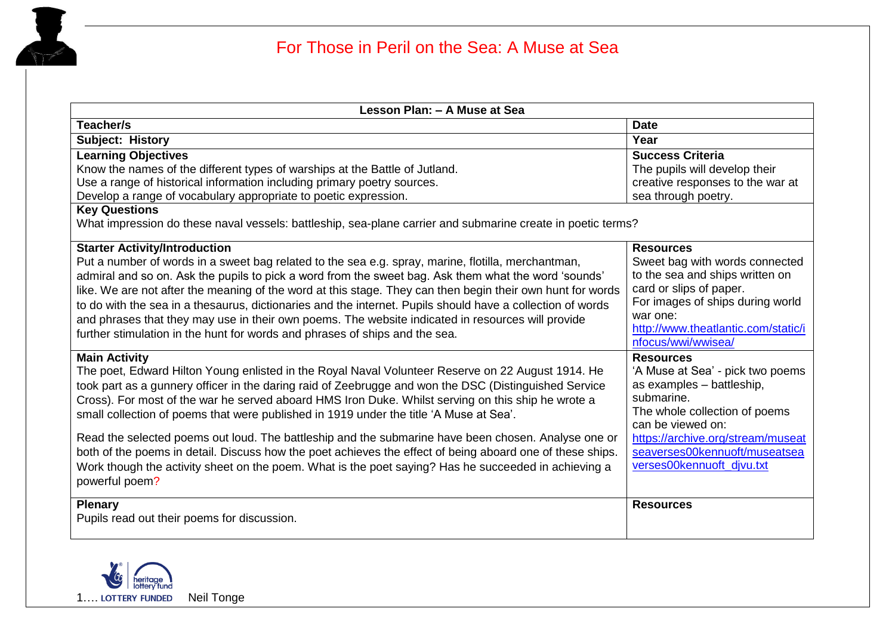

| Lesson Plan: - A Muse at Sea                                                                                                                                                                                                                                                                                                                                                                                                                                                                                                                                                                                                                                                                                                                                                     |                                                                                                                                                                                                                                                          |
|----------------------------------------------------------------------------------------------------------------------------------------------------------------------------------------------------------------------------------------------------------------------------------------------------------------------------------------------------------------------------------------------------------------------------------------------------------------------------------------------------------------------------------------------------------------------------------------------------------------------------------------------------------------------------------------------------------------------------------------------------------------------------------|----------------------------------------------------------------------------------------------------------------------------------------------------------------------------------------------------------------------------------------------------------|
| Teacher/s                                                                                                                                                                                                                                                                                                                                                                                                                                                                                                                                                                                                                                                                                                                                                                        | <b>Date</b>                                                                                                                                                                                                                                              |
| Subject: History                                                                                                                                                                                                                                                                                                                                                                                                                                                                                                                                                                                                                                                                                                                                                                 | Year                                                                                                                                                                                                                                                     |
| <b>Learning Objectives</b><br>Know the names of the different types of warships at the Battle of Jutland.<br>Use a range of historical information including primary poetry sources.<br>Develop a range of vocabulary appropriate to poetic expression.<br><b>Key Questions</b>                                                                                                                                                                                                                                                                                                                                                                                                                                                                                                  | <b>Success Criteria</b><br>The pupils will develop their<br>creative responses to the war at<br>sea through poetry.                                                                                                                                      |
| What impression do these naval vessels: battleship, sea-plane carrier and submarine create in poetic terms?                                                                                                                                                                                                                                                                                                                                                                                                                                                                                                                                                                                                                                                                      |                                                                                                                                                                                                                                                          |
| <b>Starter Activity/Introduction</b><br>Put a number of words in a sweet bag related to the sea e.g. spray, marine, flotilla, merchantman,<br>admiral and so on. Ask the pupils to pick a word from the sweet bag. Ask them what the word 'sounds'<br>like. We are not after the meaning of the word at this stage. They can then begin their own hunt for words<br>to do with the sea in a thesaurus, dictionaries and the internet. Pupils should have a collection of words<br>and phrases that they may use in their own poems. The website indicated in resources will provide<br>further stimulation in the hunt for words and phrases of ships and the sea.                                                                                                               | <b>Resources</b><br>Sweet bag with words connected<br>to the sea and ships written on<br>card or slips of paper.<br>For images of ships during world<br>war one:<br>http://www.theatlantic.com/static/i<br>nfocus/wwi/wwisea/                            |
| <b>Main Activity</b><br>The poet, Edward Hilton Young enlisted in the Royal Naval Volunteer Reserve on 22 August 1914. He<br>took part as a gunnery officer in the daring raid of Zeebrugge and won the DSC (Distinguished Service<br>Cross). For most of the war he served aboard HMS Iron Duke. Whilst serving on this ship he wrote a<br>small collection of poems that were published in 1919 under the title 'A Muse at Sea'.<br>Read the selected poems out loud. The battleship and the submarine have been chosen. Analyse one or<br>both of the poems in detail. Discuss how the poet achieves the effect of being aboard one of these ships.<br>Work though the activity sheet on the poem. What is the poet saying? Has he succeeded in achieving a<br>powerful poem? | <b>Resources</b><br>'A Muse at Sea' - pick two poems<br>as examples - battleship,<br>submarine.<br>The whole collection of poems<br>can be viewed on:<br>https://archive.org/stream/museat<br>seaverses00kennuoft/museatsea<br>verses00kennuoft divu.txt |
| <b>Plenary</b><br>Pupils read out their poems for discussion.                                                                                                                                                                                                                                                                                                                                                                                                                                                                                                                                                                                                                                                                                                                    | <b>Resources</b>                                                                                                                                                                                                                                         |

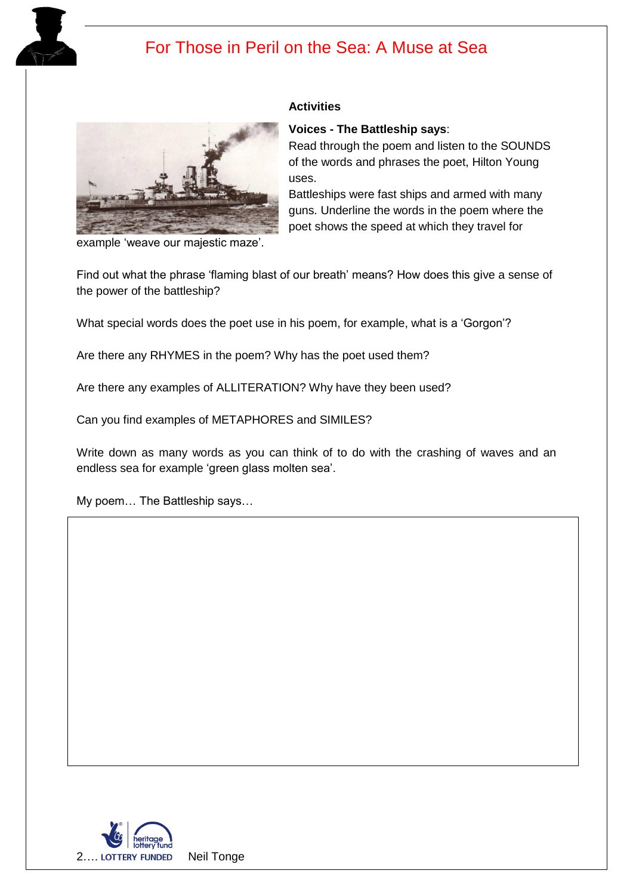



#### **Activities**

#### **Voices - The Battleship says**:

Read through the poem and listen to the SOUNDS of the words and phrases the poet, Hilton Young uses.

Battleships were fast ships and armed with many guns. Underline the words in the poem where the poet shows the speed at which they travel for

example 'weave our majestic maze'.

Find out what the phrase 'flaming blast of our breath' means? How does this give a sense of the power of the battleship?

What special words does the poet use in his poem, for example, what is a 'Gorgon'?

Are there any RHYMES in the poem? Why has the poet used them?

Are there any examples of ALLITERATION? Why have they been used?

Can you find examples of METAPHORES and SIMILES?

Write down as many words as you can think of to do with the crashing of waves and an endless sea for example 'green glass molten sea'.

My poem… The Battleship says…

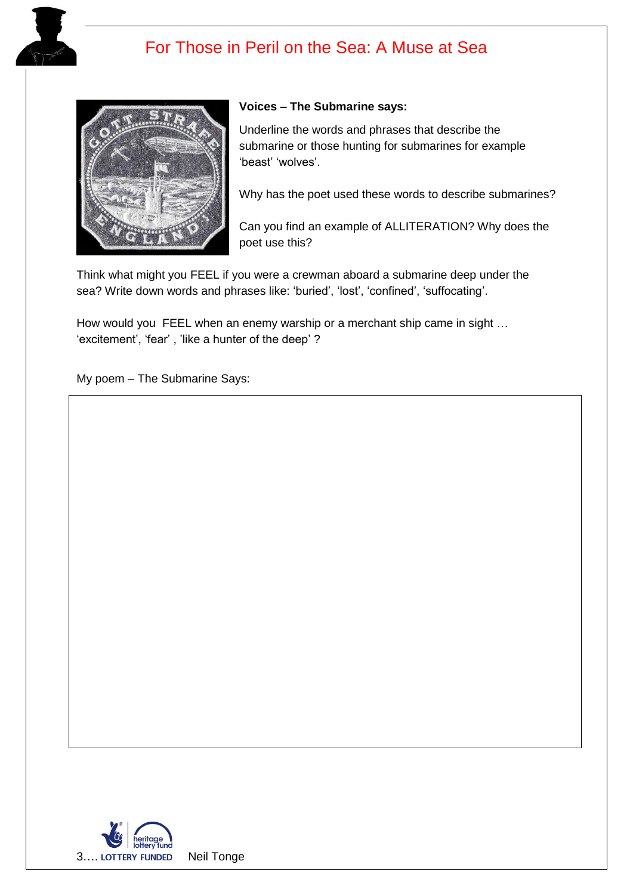



#### **Voices – The Submarine says:**

Underline the words and phrases that describe the submarine or those hunting for submarines for example 'beast' 'wolves'.

Why has the poet used these words to describe submarines?

Can you find an example of ALLITERATION? Why does the poet use this?

Think what might you FEEL if you were a crewman aboard a submarine deep under the sea? Write down words and phrases like: 'buried', 'lost', 'confined', 'suffocating'.

How would you FEEL when an enemy warship or a merchant ship came in sight ... 'excitement', 'fear' , 'like a hunter of the deep' ?

My poem – The Submarine Says: